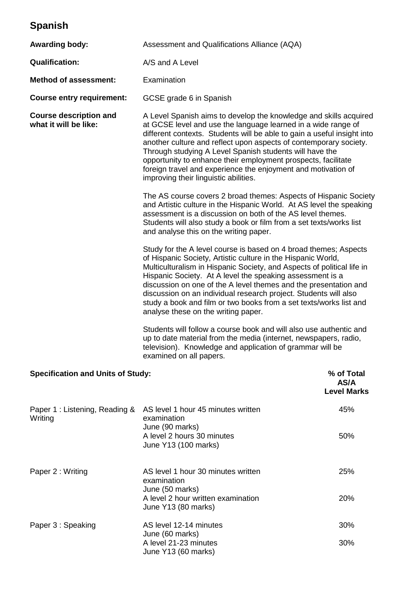## **Spanish**

| <b>Awarding body:</b>                                  | Assessment and Qualifications Alliance (AQA)                                                                                                                                                                                                                                                                                                                                                                                                                                                                                 |                                          |  |
|--------------------------------------------------------|------------------------------------------------------------------------------------------------------------------------------------------------------------------------------------------------------------------------------------------------------------------------------------------------------------------------------------------------------------------------------------------------------------------------------------------------------------------------------------------------------------------------------|------------------------------------------|--|
| <b>Qualification:</b>                                  | A/S and A Level                                                                                                                                                                                                                                                                                                                                                                                                                                                                                                              |                                          |  |
| <b>Method of assessment:</b>                           | Examination                                                                                                                                                                                                                                                                                                                                                                                                                                                                                                                  |                                          |  |
| <b>Course entry requirement:</b>                       | GCSE grade 6 in Spanish                                                                                                                                                                                                                                                                                                                                                                                                                                                                                                      |                                          |  |
| <b>Course description and</b><br>what it will be like: | A Level Spanish aims to develop the knowledge and skills acquired<br>at GCSE level and use the language learned in a wide range of<br>different contexts. Students will be able to gain a useful insight into<br>another culture and reflect upon aspects of contemporary society.<br>Through studying A Level Spanish students will have the<br>opportunity to enhance their employment prospects, facilitate<br>foreign travel and experience the enjoyment and motivation of<br>improving their linguistic abilities.     |                                          |  |
|                                                        | The AS course covers 2 broad themes: Aspects of Hispanic Society<br>and Artistic culture in the Hispanic World. At AS level the speaking<br>assessment is a discussion on both of the AS level themes.<br>Students will also study a book or film from a set texts/works list<br>and analyse this on the writing paper.                                                                                                                                                                                                      |                                          |  |
|                                                        | Study for the A level course is based on 4 broad themes; Aspects<br>of Hispanic Society, Artistic culture in the Hispanic World,<br>Multiculturalism in Hispanic Society, and Aspects of political life in<br>Hispanic Society. At A level the speaking assessment is a<br>discussion on one of the A level themes and the presentation and<br>discussion on an individual research project. Students will also<br>study a book and film or two books from a set texts/works list and<br>analyse these on the writing paper. |                                          |  |
|                                                        | Students will follow a course book and will also use authentic and<br>up to date material from the media (internet, newspapers, radio,<br>television). Knowledge and application of grammar will be<br>examined on all papers.                                                                                                                                                                                                                                                                                               |                                          |  |
| <b>Specification and Units of Study:</b>               |                                                                                                                                                                                                                                                                                                                                                                                                                                                                                                                              | % of Total<br>AS/A<br><b>Level Marks</b> |  |
| Paper 1: Listening, Reading &<br>Writing               | AS level 1 hour 45 minutes written<br>examination<br>June (90 marks)<br>A level 2 hours 30 minutes<br>June Y13 (100 marks)                                                                                                                                                                                                                                                                                                                                                                                                   | 45%<br>50%                               |  |
| Paper 2 : Writing                                      | AS level 1 hour 30 minutes written<br>examination<br>June (50 marks)<br>A level 2 hour written examination                                                                                                                                                                                                                                                                                                                                                                                                                   | 25%<br>20%                               |  |
| Paper 3 : Speaking                                     | June Y13 (80 marks)<br>AS level 12-14 minutes                                                                                                                                                                                                                                                                                                                                                                                                                                                                                | 30%                                      |  |
|                                                        | June (60 marks)<br>A level 21-23 minutes<br>June Y13 (60 marks)                                                                                                                                                                                                                                                                                                                                                                                                                                                              | 30%                                      |  |